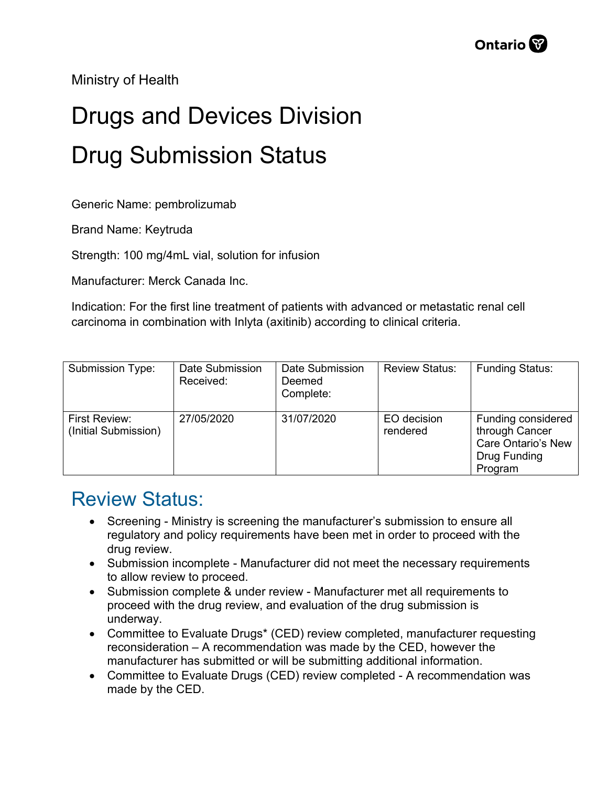Ministry of Health

## Drugs and Devices Division Drug Submission Status

Generic Name: pembrolizumab

Brand Name: Keytruda

Strength: 100 mg/4mL vial, solution for infusion

Manufacturer: Merck Canada Inc.

Indication: For the first line treatment of patients with advanced or metastatic renal cell carcinoma in combination with Inlyta (axitinib) according to clinical criteria.

| Submission Type:                      | Date Submission<br>Received: | Date Submission<br>Deemed<br>Complete: | <b>Review Status:</b>   | <b>Funding Status:</b>                                                                       |
|---------------------------------------|------------------------------|----------------------------------------|-------------------------|----------------------------------------------------------------------------------------------|
| First Review:<br>(Initial Submission) | 27/05/2020                   | 31/07/2020                             | EO decision<br>rendered | Funding considered<br>through Cancer<br><b>Care Ontario's New</b><br>Drug Funding<br>Program |

## Review Status:

- Screening Ministry is screening the manufacturer's submission to ensure all regulatory and policy requirements have been met in order to proceed with the drug review.
- Submission incomplete Manufacturer did not meet the necessary requirements to allow review to proceed.
- Submission complete & under review Manufacturer met all requirements to proceed with the drug review, and evaluation of the drug submission is underway.
- Committee to Evaluate Drugs\* (CED) review completed, manufacturer requesting reconsideration – A recommendation was made by the CED, however the manufacturer has submitted or will be submitting additional information.
- Committee to Evaluate Drugs (CED) review completed A recommendation was made by the CED.